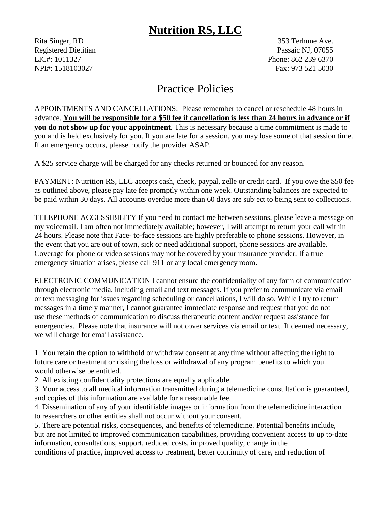## **Nutrition RS, LLC**

Rita Singer, RD 353 Terhune Ave. Registered Dietitian Passaic NJ, 07055 LIC#: 1011327 Phone: 862 239 6370 NPI#: 1518103027 Fax: 973 521 5030

## Practice Policies

APPOINTMENTS AND CANCELLATIONS: Please remember to cancel or reschedule 48 hours in advance. **You will be responsible for a \$50 fee if cancellation is less than 24 hours in advance or if you do not show up for your appointment**. This is necessary because a time commitment is made to you and is held exclusively for you. If you are late for a session, you may lose some of that session time. If an emergency occurs, please notify the provider ASAP.

A \$25 service charge will be charged for any checks returned or bounced for any reason.

PAYMENT: Nutrition RS, LLC accepts cash, check, paypal, zelle or credit card. If you owe the \$50 fee as outlined above, please pay late fee promptly within one week. Outstanding balances are expected to be paid within 30 days. All accounts overdue more than 60 days are subject to being sent to collections.

TELEPHONE ACCESSIBILITY If you need to contact me between sessions, please leave a message on my voicemail. I am often not immediately available; however, I will attempt to return your call within 24 hours. Please note that Face- to-face sessions are highly preferable to phone sessions. However, in the event that you are out of town, sick or need additional support, phone sessions are available. Coverage for phone or video sessions may not be covered by your insurance provider. If a true emergency situation arises, please call 911 or any local emergency room.

ELECTRONIC COMMUNICATION I cannot ensure the confidentiality of any form of communication through electronic media, including email and text messages. If you prefer to communicate via email or text messaging for issues regarding scheduling or cancellations, I will do so. While I try to return messages in a timely manner, I cannot guarantee immediate response and request that you do not use these methods of communication to discuss therapeutic content and/or request assistance for emergencies. Please note that insurance will not cover services via email or text. If deemed necessary, we will charge for email assistance.

1. You retain the option to withhold or withdraw consent at any time without affecting the right to future care or treatment or risking the loss or withdrawal of any program benefits to which you would otherwise be entitled.

2. All existing confidentiality protections are equally applicable.

3. Your access to all medical information transmitted during a telemedicine consultation is guaranteed, and copies of this information are available for a reasonable fee.

4. Dissemination of any of your identifiable images or information from the telemedicine interaction to researchers or other entities shall not occur without your consent.

5. There are potential risks, consequences, and benefits of telemedicine. Potential benefits include, but are not limited to improved communication capabilities, providing convenient access to up to-date information, consultations, support, reduced costs, improved quality, change in the conditions of practice, improved access to treatment, better continuity of care, and reduction of